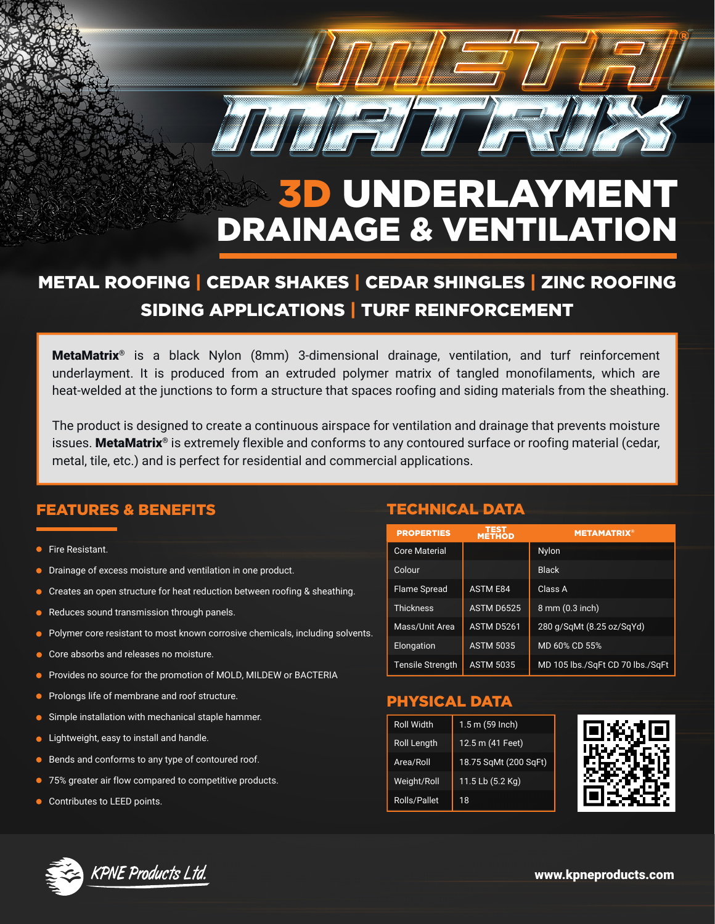

# 3D UNDERLAYMENT DRAINAGE & VENTILATION

# METAL ROOFING | CEDAR SHAKES | CEDAR SHINGLES | ZINC ROOFING SIDING APPLICATIONS | TURF REINFORCEMENT

MetaMatrix<sup>®</sup> is a black Nylon (8mm) 3-dimensional drainage, ventilation, and turf reinforcement underlayment. It is produced from an extruded polymer matrix of tangled monofilaments, which are heat-welded at the junctions to form a structure that spaces roofing and siding materials from the sheathing.

The product is designed to create a continuous airspace for ventilation and drainage that prevents moisture issues. MetaMatrix<sup>®</sup> is extremely flexible and conforms to any contoured surface or roofing material (cedar, metal, tile, etc.) and is perfect for residential and commercial applications.

### FEATURES & BENEFITS TECHNICAL DATA

- Fire Resistant.
- Drainage of excess moisture and ventilation in one product.
- Creates an open structure for heat reduction between roofing & sheathing.  $\bullet$
- Reduces sound transmission through panels.
- Polymer core resistant to most known corrosive chemicals, including solvents.
- Core absorbs and releases no moisture.  $\bullet$
- Provides no source for the promotion of MOLD, MILDEW or BACTERIA  $\bullet$
- **•** Prolongs life of membrane and roof structure.
- **Simple installation with mechanical staple hammer.**
- **I** Lightweight, easy to install and handle.
- **Bends and conforms to any type of contoured roof.**
- 75% greater air flow compared to competitive products.
- **Contributes to LEED points.**

| <b>PROPERTIES</b>       | TEST<br>METHOD    | <b>METAMATRIX®</b>               |
|-------------------------|-------------------|----------------------------------|
| <b>Core Material</b>    |                   | <b>Nylon</b>                     |
| Colour                  |                   | <b>Black</b>                     |
| <b>Flame Spread</b>     | <b>ASTM E84</b>   | Class A                          |
| <b>Thickness</b>        | ASTM D6525        | 8 mm (0.3 inch)                  |
| Mass/Unit Area          | <b>ASTM D5261</b> | 280 g/SqMt (8.25 oz/SqYd)        |
| Elongation              | <b>ASTM 5035</b>  | MD 60% CD 55%                    |
| <b>Tensile Strength</b> | <b>ASTM 5035</b>  | MD 105 lbs./SqFt CD 70 lbs./SqFt |

# PHYSICAL DATA

| <b>Roll Width</b>   | $1.5 \text{ m}$ (59 Inch) |  |
|---------------------|---------------------------|--|
| Roll Length         | 12.5 m (41 Feet)          |  |
| Area/Roll           | 18.75 SqMt (200 SqFt)     |  |
| Weight/Roll         | 11.5 Lb (5.2 Kg)          |  |
| <b>Rolls/Pallet</b> | 18                        |  |